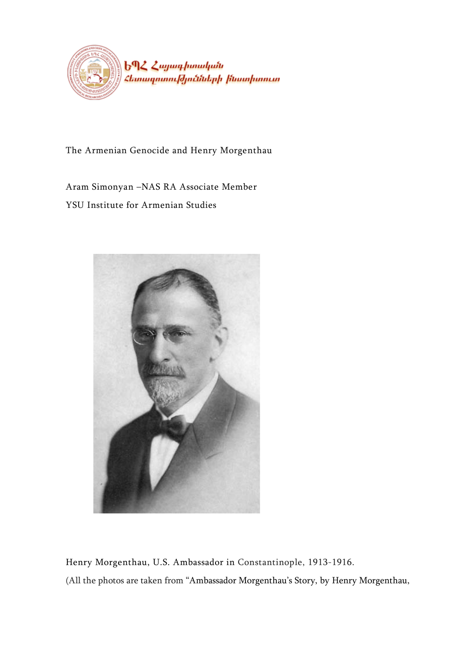

The Armenian Genocide and Henry Morgenthau

Aram Simonyan –NAS RA Associate Member YSU Institute for Armenian Studies



<span id="page-0-0"></span>Henry Morgenthau, U.S. Ambassador in Constantinople, 1913-1916. (All the photos are taken from "Ambassador Morgenthau's Story, by Henry Morgenthau,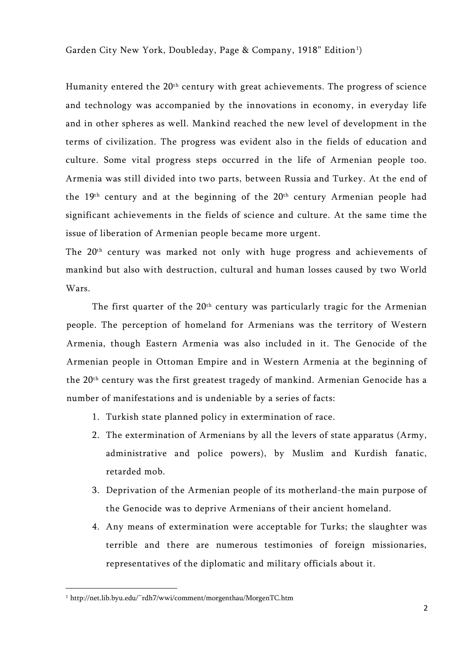Garden City New York, Doubleday, Page & Company, 1918" Edition<sup>1</sup>)

Humanity entered the 20<sup>th</sup> century with great achievements. The progress of science and technology was accompanied by the innovations in economy, in everyday life and in other spheres as well. Mankind reached the new level of development in the terms of civilization. The progress was evident also in the fields of education and culture. Some vital progress steps occurred in the life of Armenian people too. Armenia was still divided into two parts, between Russia and Turkey. At the end of the 19<sup>th</sup> century and at the beginning of the 20<sup>th</sup> century Armenian people had significant achievements in the fields of science and culture. At the same time the issue of liberation of Armenian people became more urgent.

The 20th century was marked not only with huge progress and achievements of mankind but also with destruction, cultural and human losses caused by two World Wars.

The first quarter of the 20<sup>th</sup> century was particularly tragic for the Armenian people. The perception of homeland for Armenians was the territory of Western Armenia, though Eastern Armenia was also included in it. The Genocide of the Armenian people in Ottoman Empire and in Western Armenia at the beginning of the 20th century was the first greatest tragedy of mankind. Armenian Genocide has a number of manifestations and is undeniable by a series of facts:

- 1. Turkish state planned policy in extermination of race.
- 2. The extermination of Armenians by all the levers of state apparatus (Army, administrative and police powers), by Muslim and Kurdish fanatic, retarded mob.
- 3. Deprivation of the Armenian people of its motherland-the main purpose of the Genocide was to deprive Armenians of their ancient homeland.
- 4. Any means of extermination were acceptable for Turks; the slaughter was terrible and there are numerous testimonies of foreign missionaries, representatives of the diplomatic and military officials about it.

<span id="page-1-0"></span><sup>1</sup> http://net.lib.byu.edu/~rdh7/wwi/comment/morgenthau/MorgenTC.htm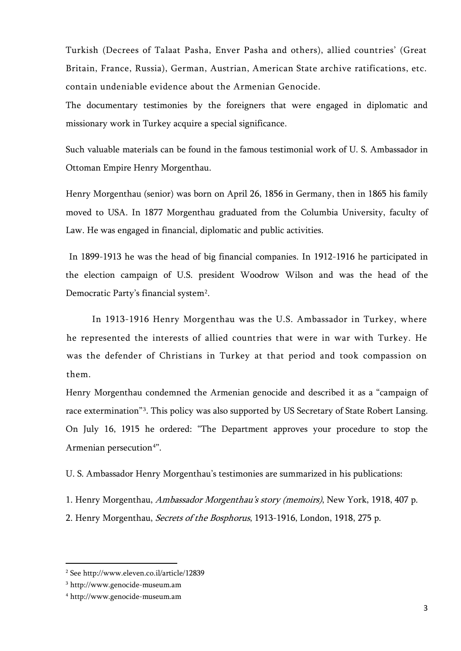Turkish (Decrees of Talaat Pasha, Enver Pasha and others), allied countries' (Great Britain, France, Russia), German, Austrian, American State archive ratifications, etc. contain undeniable evidence about the Armenian Genocide.

The documentary testimonies by the foreigners that were engaged in diplomatic and missionary work in Turkey acquire a special significance.

Such valuable materials can be found in the famous testimonial work of U. S. Ambassador in Ottoman Empire Henry Morgenthau.

Henry Morgenthau (senior) was born on April 26, 1856 in Germany, then in 1865 his family moved to USA. In 1877 Morgenthau graduated from the Columbia University, faculty of Law. He was engaged in financial, diplomatic and public activities.

In 1899-1913 he was the head of big financial companies. In 1912-1916 he participated in the election campaign of U.S. president Woodrow Wilson and was the head of the Democratic Party's financial system<sup>2</sup>.

In 1913-1916 Henry Morgenthau was the U.S. Ambassador in Turkey, where he represented the interests of allied countries that were in war with Turkey. He was the defender of Christians in Turkey at that period and took compassion on them.

Henry Morgenthau condemned the Armenian genocide and described it as a "campaign of race extermination"<sup>[3](#page-2-0)</sup>. This policy was also supported by US Secretary of State Robert Lansing. On July 16, 1915 he ordered: "The Department approves your procedure to stop the Armenian persecution<sup>[4](#page-2-0)"</sup>.

U. S. Ambassador Henry Morgenthau's testimonies are summarized in his publications:

1. Henry Morgenthau, Ambassador Morgenthau's story (memoirs), New York, 1918, 407 p. 2. Henry Morgenthau, Secrets of the Bosphorus, 1913-1916, London, 1918, 275 p.

l

<span id="page-2-0"></span><sup>2</sup> See<http://www.eleven.co.il/article/12839>

<sup>3</sup> [http://www.genocide-museum.am](http://www.genocide-museum.am/)

<sup>4</sup> [http://www.genocide-museum.am](http://www.genocide-museum.am/)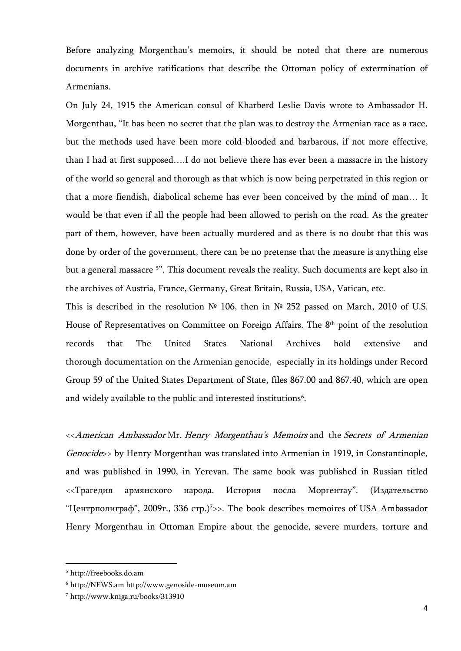Before analyzing Morgenthau's memoirs, it should be noted that there are numerous documents in archive ratifications that describe the Ottoman policy of extermination of Armenians.

On July 24, 1915 the American consul of Kharberd Leslie Davis wrote to Ambassador H. Morgenthau, "It has been no secret that the plan was to destroy the Armenian race as a race, but the methods used have been more cold-blooded and barbarous, if not more effective, than I had at first supposed….I do not believe there has ever been a massacre in the history of the world so general and thorough as that which is now being perpetrated in this region or that a more fiendish, diabolical scheme has ever been conceived by the mind of man… It would be that even if all the people had been allowed to perish on the road. As the greater part of them, however, have been actually murdered and as there is no doubt that this was done by order of the government, there can be no pretense that the measure is anything else but a general massacre <sup>[5](#page-2-0)</sup>". This document reveals the reality. Such documents are kept also in the archives of Austria, France, Germany, Great Britain, Russia, USA, Vatican, etc.

This is described in the resolution № 106, then in № 252 passed on March, 2010 of U.S. House of Representatives on Committee on Foreign Affairs. The 8<sup>th</sup> point of the resolution records that The United States National Archives hold extensive and thorough documentation on the Armenian genocide, especially in its holdings under Record Group 59 of the United States Department of State, files 867.00 and 867.40, which are open and widely available to the public and interested institutions<sup>6</sup>.

<<American Ambassador Mr. Henry Morgenthau's Memoirs and the Secrets of Armenian Genocide>> by Henry Morgenthau was translated into Armenian in 1919, in Constantinople, and was published in 1990, in Yerevan. The same book was published in Russian titled <<Трагедия армянского народа. История посла Моргентау". (Издательство "Центрполиграф", 2009г., 336 стр.[\)7](#page-3-0) >>. The book describes memoires of USA Ambassador Henry Morgenthau in Ottoman Empire about the genocide, severe murders, torture and

 $\overline{a}$ 

<span id="page-3-1"></span><span id="page-3-0"></span><sup>5</sup> [http://freebooks.do.am](http://freebooks.do.am/)

<sup>6</sup> [http://NEWS.am](http://news.am/) [http://www.genoside-museum.am](http://www.genoside-museum.am/)

<sup>7</sup> http://www.kniga.ru/books/313910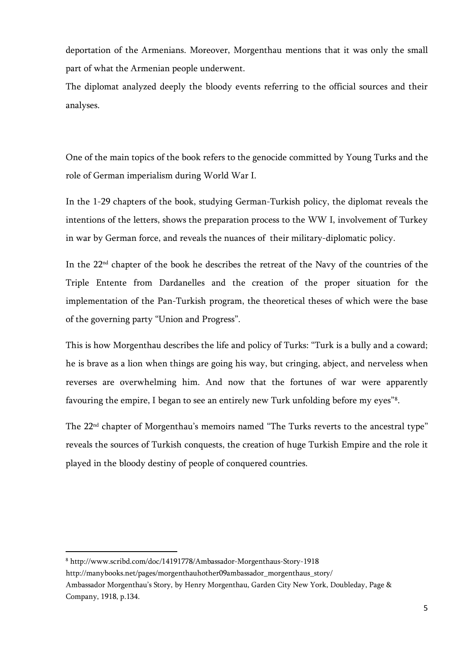deportation of the Armenians. Moreover, Morgenthau mentions that it was only the small part of what the Armenian people underwent.

The diplomat analyzed deeply the bloody events referring to the official sources and their analyses.

One of the main topics of the book refers to the genocide committed by Young Turks and the role of German imperialism during World War I.

In the 1-29 chapters of the book, studying German-Turkish policy, the diplomat reveals the intentions of the letters, shows the preparation process to the WW I, involvement of Turkey in war by German force, and reveals the nuances of their military-diplomatic policy.

In the 22nd chapter of the book he describes the retreat of the Navy of the countries of the Triple Entente from Dardanelles and the creation of the proper situation for the implementation of the Pan-Turkish program, the theoretical theses of which were the base of the governing party "Union and Progress".

This is how Morgenthau describes the life and policy of Turks: "Turk is a bully and a coward; he is brave as a lion when things are going his way, but cringing, abject, and nerveless when reverses are overwhelming him. And now that the fortunes of war were apparently favouring the empire, I began to see an entirely new Turk unfolding before my eyes"[8](#page-3-1) .

The 22<sup>nd</sup> chapter of Morgenthau's memoirs named "The Turks reverts to the ancestral type" reveals the sources of Turkish conquests, the creation of huge Turkish Empire and the role it played in the bloody destiny of people of conquered countries.

<sup>8</sup> http://www.scribd.com/doc/14191778/Ambassador-Morgenthaus-Story-1918

<span id="page-4-0"></span>http://manybooks.net/pages/morgenthauhother09ambassador\_morgenthaus\_story/

Ambassador Morgenthau's Story, by Henry Morgenthau, Garden City New York, Doubleday, Page & Company, 1918, p.134.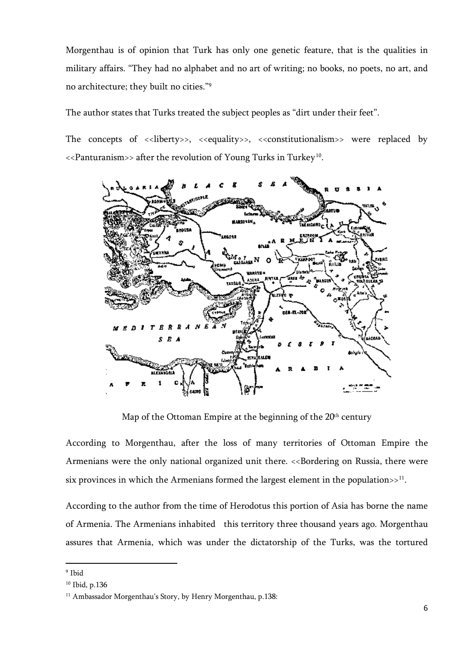Morgenthau is of opinion that Turk has only one genetic feature, that is the qualities in military affairs. "They had no alphabet and no art of writing; no books, no poets, no art, and no architecture; they built no cities."[9](#page-4-0)

The author states that Turks treated the subject peoples as "dirt under their feet".

The concepts of  $\langle$ -liberty>>,  $\langle$ -equality>>,  $\langle$ -constitutionalism>> were replaced by <<Panturanism>> after the revolution of Young Turks in Turkey[10](#page-5-0).



Map of the Ottoman Empire at the beginning of the 20<sup>th</sup> century

According to Morgenthau, after the loss of many territories of Ottoman Empire the Armenians were the only national organized unit there. <<Bordering on Russia, there were six provinces in which the Armenians formed the largest element in the population $>11$  $>11$ .

According to the author from the time of Herodotus this portion of Asia has borne the name of Armenia. The Armenians inhabited this territory three thousand years ago. Morgenthau assures that Armenia, which was under the dictatorship of the Turks, was the tortured

 $\overline{a}$ 

<span id="page-5-0"></span><sup>9</sup> Ibid

<sup>10</sup> Ibid, p.136

<sup>&</sup>lt;sup>11</sup> Ambassador Morgenthau's Story, by Henry Morgenthau, p.138: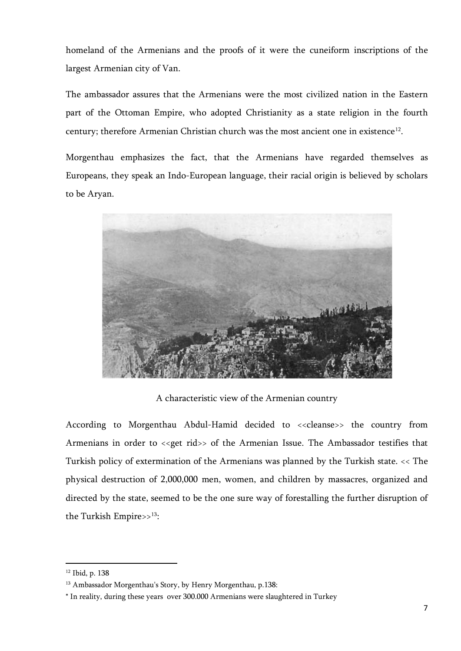homeland of the Armenians and the proofs of it were the cuneiform inscriptions of the largest Armenian city of Van.

The ambassador assures that the Armenians were the most civilized nation in the Eastern part of the Ottoman Empire, who adopted Christianity as a state religion in the fourth century; therefore Armenian Christian church was the most ancient one in existence<sup>12</sup>.

Morgenthau emphasizes the fact, that the Armenians have regarded themselves as Europeans, they speak an Indo-European language, their racial origin is believed by scholars to be Aryan.



A characteristic view of the Armenian country

According to Morgenthau Abdul-Hamid decided to <<<leanse>> the country from Armenians in order to << get rid>> of the Armenian Issue. The Ambassador testifies that Turkish policy of extermination of the Armenians was planned by the Turkish state. << The physical destruction of 2,000,000 men, women, and children by massacres, organized and directed by the state, seemed to be the one sure way of forestalling the further disruption of the Turkish Empire>>[13:](#page-6-0)

 $\overline{a}$ 

<span id="page-6-0"></span><sup>12</sup> Ibid, p. 138

<span id="page-6-1"></span><sup>&</sup>lt;sup>13</sup> Ambassador Morgenthau's Story, by Henry Morgenthau, p.138:

<sup>\*</sup> In reality, during these years over 300.000 Armenians were slaughtered in Turkey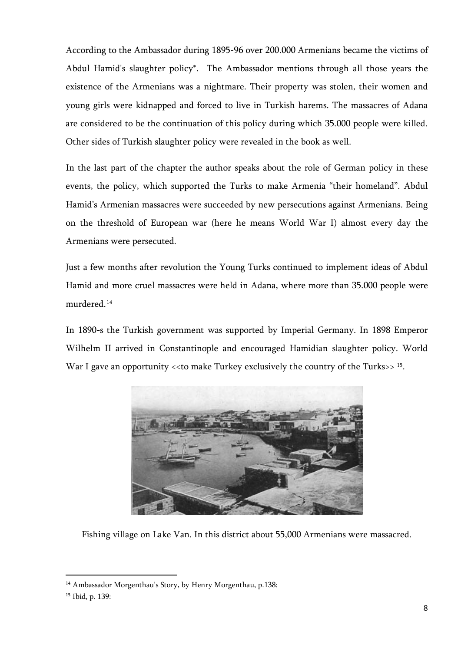According to the Ambassador during 1895-96 over 200.000 Armenians became the victims of Abdul Hamid's slaughter policy\*. The Ambassador mentions through all those years the existence of the Armenians was a nightmare. Their property was stolen, their women and young girls were kidnapped and forced to live in Turkish harems. The massacres of Adana are considered to be the continuation of this policy during which 35.000 people were killed. Other sides of Turkish slaughter policy were revealed in the book as well.

In the last part of the chapter the author speaks about the role of German policy in these events, the policy, which supported the Turks to make Armenia "their homeland". Abdul Hamid's Armenian massacres were succeeded by new persecutions against Armenians. Being on the threshold of European war (here he means World War I) almost every day the Armenians were persecuted.

Just a few months after revolution the Young Turks continued to implement ideas of Abdul Hamid and more cruel massacres were held in Adana, where more than 35.000 people were murdered.[14](#page-6-1)

In 1890-s the Turkish government was supported by Imperial Germany. In 1898 Emperor Wilhelm II arrived in Constantinople and encouraged Hamidian slaughter policy. World War I gave an opportunity << to make Turkey exclusively the country of the Turks>> [15](#page-7-0).



Fishing village on Lake Van. In this district about 55,000 Armenians were massacred.

<span id="page-7-0"></span><sup>&</sup>lt;sup>14</sup> Ambassador Morgenthau's Story, by Henry Morgenthau, p.138:

<span id="page-7-1"></span><sup>15</sup> Ibid, p. 139: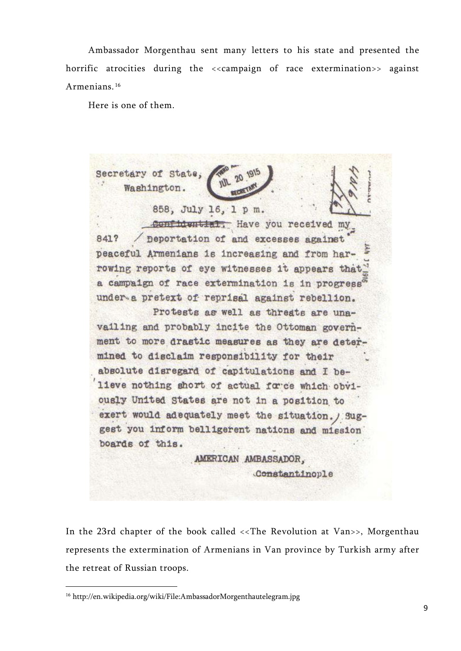Ambassador Morgenthau sent many letters to his state and presented the horrific atrocities during the <<campaign of race extermination>> against Armenians. [16](#page-7-1)

Here is one of them.

Secretary of State, Washington. 858, July 16, 1 p m. confidential: Have you received my peportation of and excesses against 841? peaceful Armenians is increasing and from harrowing reports of eye witnesses it appears that a campaign of race extermination is in progress<sup>5</sup> under a pretext of reprisal against rebellion. Protests as well as threats are unavailing and probably incite the Ottoman government to more drastic measures as they are determined to disclaim responsibility for their absolute disregard of capitulations and I believe nothing short of actual force which obviously United States are not in a position to exert would adequately meet the situation. / Suggest you inform belligerent nations and mission boards of this. AMERICAN AMBASSADOR, Constantinople

In the 23rd chapter of the book called <<The Revolution at Van>>, Morgenthau represents the extermination of Armenians in Van province by Turkish army after the retreat of Russian troops.

<span id="page-8-0"></span><sup>16</sup> <http://en.wikipedia.org/wiki/File:AmbassadorMorgenthautelegram.jpg>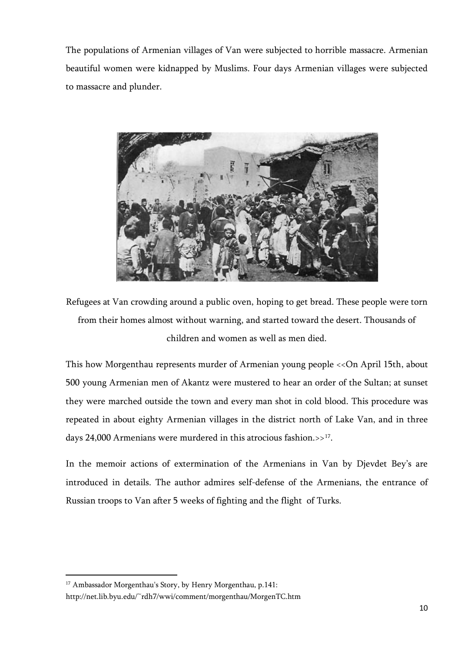The populations of Armenian villages of Van were subjected to horrible massacre. Armenian beautiful women were kidnapped by Muslims. Four days Armenian villages were subjected to massacre and plunder.



Refugees at Van crowding around a public oven, hoping to get bread. These people were torn from their homes almost without warning, and started toward the desert. Thousands of children and women as well as men died.

This how Morgenthau represents murder of Armenian young people <<On April 15th, about 500 young Armenian men of Akantz were mustered to hear an order of the Sultan; at sunset they were marched outside the town and every man shot in cold blood. This procedure was repeated in about eighty Armenian villages in the district north of Lake Van, and in three days 24,000 Armenians were murdered in this atrocious fashion. $>17$ .

In the memoir actions of extermination of the Armenians in Van by Djevdet Bey's are introduced in details. The author admires self-defense of the Armenians, the entrance of Russian troops to Van after 5 weeks of fighting and the flight of Turks.

<sup>&</sup>lt;sup>17</sup> Ambassador Morgenthau's Story, by Henry Morgenthau, p.141:

<span id="page-9-0"></span><http://net.lib.byu.edu/~rdh7/wwi/comment/morgenthau/MorgenTC.htm>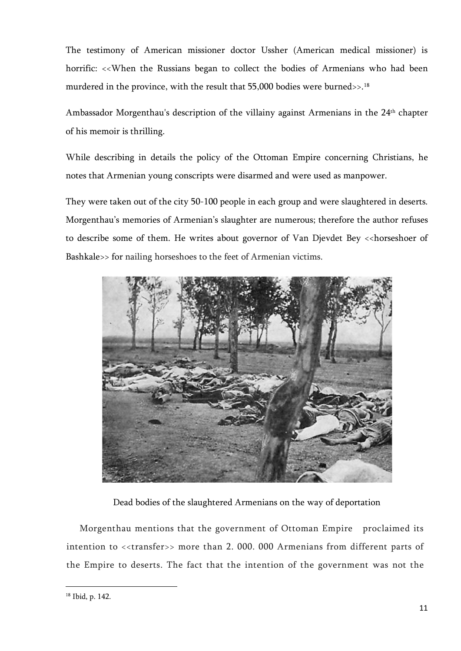The testimony of American missioner doctor Ussher (American medical missioner) is horrific: <<When the Russians began to collect the bodies of Armenians who had been murdered in the province, with the result that 55,000 bodies were burned >>.<sup>[18](#page-9-0)</sup>

Ambassador Morgenthau's description of the villainy against Armenians in the 24th chapter of his memoir is thrilling.

While describing in details the policy of the Ottoman Empire concerning Christians, he notes that Armenian young conscripts were disarmed and were used as manpower.

They were taken out of the city 50-100 people in each group and were slaughtered in deserts. Morgenthau's memories of Armenian's slaughter are numerous; therefore the author refuses to describe some of them. He writes about governor of Van Djevdet Bey << horseshoer of Bashkale>> for nailing horseshoes to the feet of Armenian victims.



Dead bodies of the slaughtered Armenians on the way of deportation

<span id="page-10-0"></span>Morgenthau mentions that the government of Ottoman Empire proclaimed its intention to <<transfer>> more than 2.000.000 Armenians from different parts of the Empire to deserts. The fact that the intention of the government was not the

<sup>18</sup> Ibid, p. 142.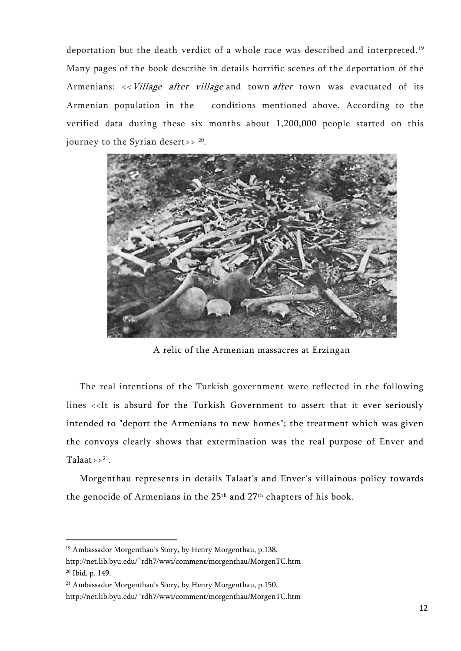deportation but the death verdict of a whole race was described and interpreted. [19](#page-10-0) Many pages of the book describe in details horrific scenes of the deportation of the Armenians: << Village after village and town after town was evacuated of its Armenian population in the conditions mentioned above. According to the verified data during these six months about 1,200,000 people started on this journey to the Syrian desert>> [20.](#page-11-0)



A relic of the Armenian massacres at Erzingan

The real intentions of the Turkish government were reflected in the following lines <<It is absurd for the Turkish Government to assert that it ever seriously intended to "deport the Armenians to new homes"; the treatment which was given the convoys clearly shows that extermination was the real purpose of Enver and Talaat>> $21$ .

Morgenthau represents in details Talaat's and Enver's villainous policy towards the genocide of Armenians in the 25th and 27th chapters of his book.

<span id="page-11-0"></span><sup>&</sup>lt;sup>19</sup> Ambassador Morgenthau's Story, by Henry Morgenthau, p.138.

<http://net.lib.byu.edu/~rdh7/wwi/comment/morgenthau/MorgenTC.htm> <sup>20</sup> Ibid, p. 149.

<sup>21</sup> Ambassador Morgenthau's Story, by Henry Morgenthau, p.150.

<http://net.lib.byu.edu/~rdh7/wwi/comment/morgenthau/MorgenTC.htm>